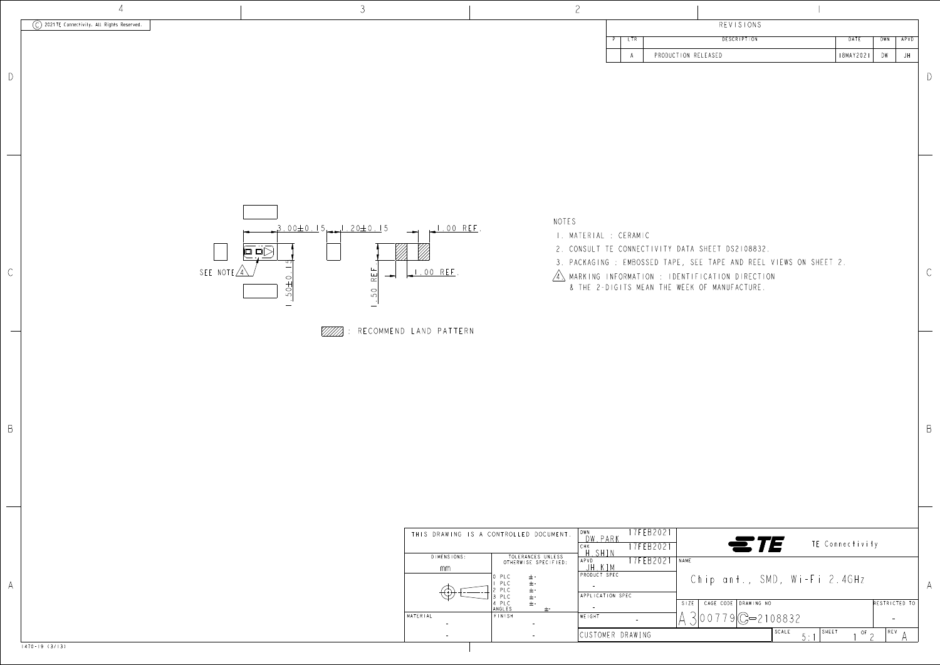

| U IMLINU I VINU . | IVEENANGEJ UNEEJJ<br>OTHERWISE SPECIFIED: | FFR202<br>APVD   | NAME                      |
|-------------------|-------------------------------------------|------------------|---------------------------|
| mm                |                                           |                  |                           |
|                   | 10 PLC<br>$+$ -                           | PRODUCT SPEC     | $\circ$                   |
|                   | $\pm$ -<br>PLC                            |                  |                           |
|                   | $\pm$ -<br>2 PLC<br>$\pm$ -<br>3 PLC      | APPLICATION SPEC |                           |
|                   | $+ -$<br>,4 PLC                           |                  | CAGE<br>S <sub>1</sub> ZE |
|                   | ANGLES<br>士-                              |                  |                           |
| MATERIAL          | FINISH                                    | WEIGHT           |                           |
|                   |                                           |                  |                           |
|                   |                                           | CUSTOMER DRAWING |                           |
|                   |                                           |                  |                           |

|                                          |                     |                                                       | <b>REVISIONS</b>                                                                                                                                                          |                               |                                               |                      |      |   |
|------------------------------------------|---------------------|-------------------------------------------------------|---------------------------------------------------------------------------------------------------------------------------------------------------------------------------|-------------------------------|-----------------------------------------------|----------------------|------|---|
| P                                        | <b>LTR</b>          |                                                       | <b>DESCRIPTION</b>                                                                                                                                                        |                               | DATE                                          | DWN                  | APVD |   |
|                                          | Α<br>CERAMIC        | PRODUCTION RELEASED                                   | CONNECTIVITY DATA SHEET DS2108832.<br>: EMBOSSED TAPE, SEE TAPE AND REEL VIEWS ON SHEET 2.<br>IFORMATION : IDENTIFICATION DIRECTION<br>GITS MEAN THE WEEK OF MANUFACTURE. |                               | 18MAY2021                                     | DW                   | JH   | D |
|                                          |                     |                                                       |                                                                                                                                                                           |                               |                                               |                      |      | B |
| $\frac{2}{10}$<br>$\frac{1}{\epsilon c}$ | N SPEC<br>R DRAWING | 17FEB2021<br>17FEB2021<br>17FEB2021<br>NAME<br>$S+ZE$ | Chip ant., SMD, Wi-Fi 2.4GHz<br>CAGE CODE DRAWING NO<br>$00779$ $C = 2108832$                                                                                             | $\in$ TE $\,$<br>SCALE<br>5:1 | TE Connectivity<br>SHEET<br>$\overline{or}$ 2 | RESTRICTED TO<br>REV |      | A |